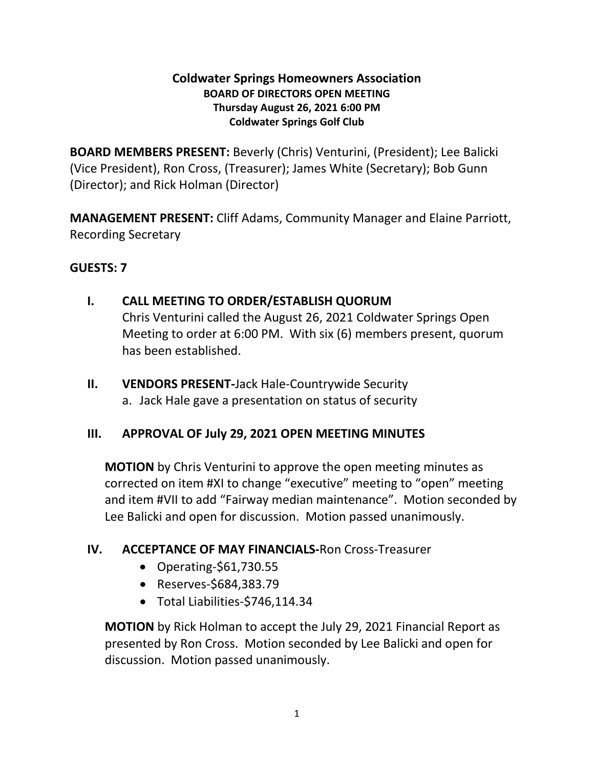#### **Coldwater Springs Homeowners Association BOARD OF DIRECTORS OPEN MEETING Thursday August 26, 2021 6:00 PM Coldwater Springs Golf Club**

**BOARD MEMBERS PRESENT:** Beverly (Chris) Venturini, (President); Lee Balicki (Vice President), Ron Cross, (Treasurer); James White (Secretary); Bob Gunn (Director); and Rick Holman (Director)

**MANAGEMENT PRESENT:** Cliff Adams, Community Manager and Elaine Parriott, Recording Secretary

#### **GUESTS: 7**

#### **I. CALL MEETING TO ORDER/ESTABLISH QUORUM**

Chris Venturini called the August 26, 2021 Coldwater Springs Open Meeting to order at 6:00 PM. With six (6) members present, quorum has been established.

**II. VENDORS PRESENT-**Jack Hale-Countrywide Security a. Jack Hale gave a presentation on status of security

## **III. APPROVAL OF July 29, 2021 OPEN MEETING MINUTES**

**MOTION** by Chris Venturini to approve the open meeting minutes as corrected on item #XI to change "executive" meeting to "open" meeting and item #VII to add "Fairway median maintenance". Motion seconded by Lee Balicki and open for discussion. Motion passed unanimously.

## **IV. ACCEPTANCE OF MAY FINANCIALS-**Ron Cross-Treasurer

- Operating*-*\$61,730.55
- Reserves-\$684,383.79
- Total Liabilities-\$746,114.34

**MOTION** by Rick Holman to accept the July 29, 2021 Financial Report as presented by Ron Cross. Motion seconded by Lee Balicki and open for discussion. Motion passed unanimously.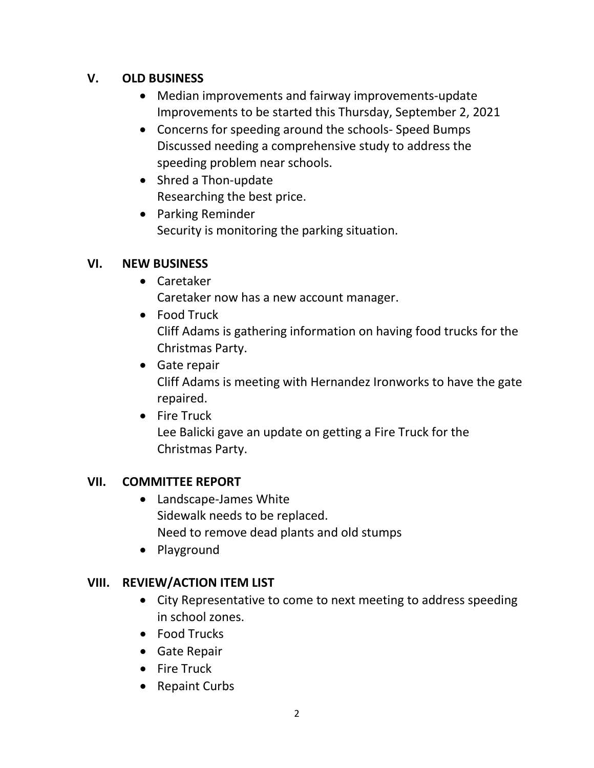# **V. OLD BUSINESS**

- Median improvements and fairway improvements-update Improvements to be started this Thursday, September 2, 2021
- Concerns for speeding around the schools- Speed Bumps Discussed needing a comprehensive study to address the speeding problem near schools.
- Shred a Thon-update Researching the best price.
- Parking Reminder Security is monitoring the parking situation.

## **VI. NEW BUSINESS**

- Caretaker Caretaker now has a new account manager.
- Food Truck Cliff Adams is gathering information on having food trucks for the Christmas Party.
- Gate repair Cliff Adams is meeting with Hernandez Ironworks to have the gate repaired.
- Fire Truck

Lee Balicki gave an update on getting a Fire Truck for the Christmas Party.

#### **VII. COMMITTEE REPORT**

- Landscape-James White Sidewalk needs to be replaced. Need to remove dead plants and old stumps
- Playground

# **VIII. REVIEW/ACTION ITEM LIST**

- City Representative to come to next meeting to address speeding in school zones.
- Food Trucks
- Gate Repair
- Fire Truck
- Repaint Curbs